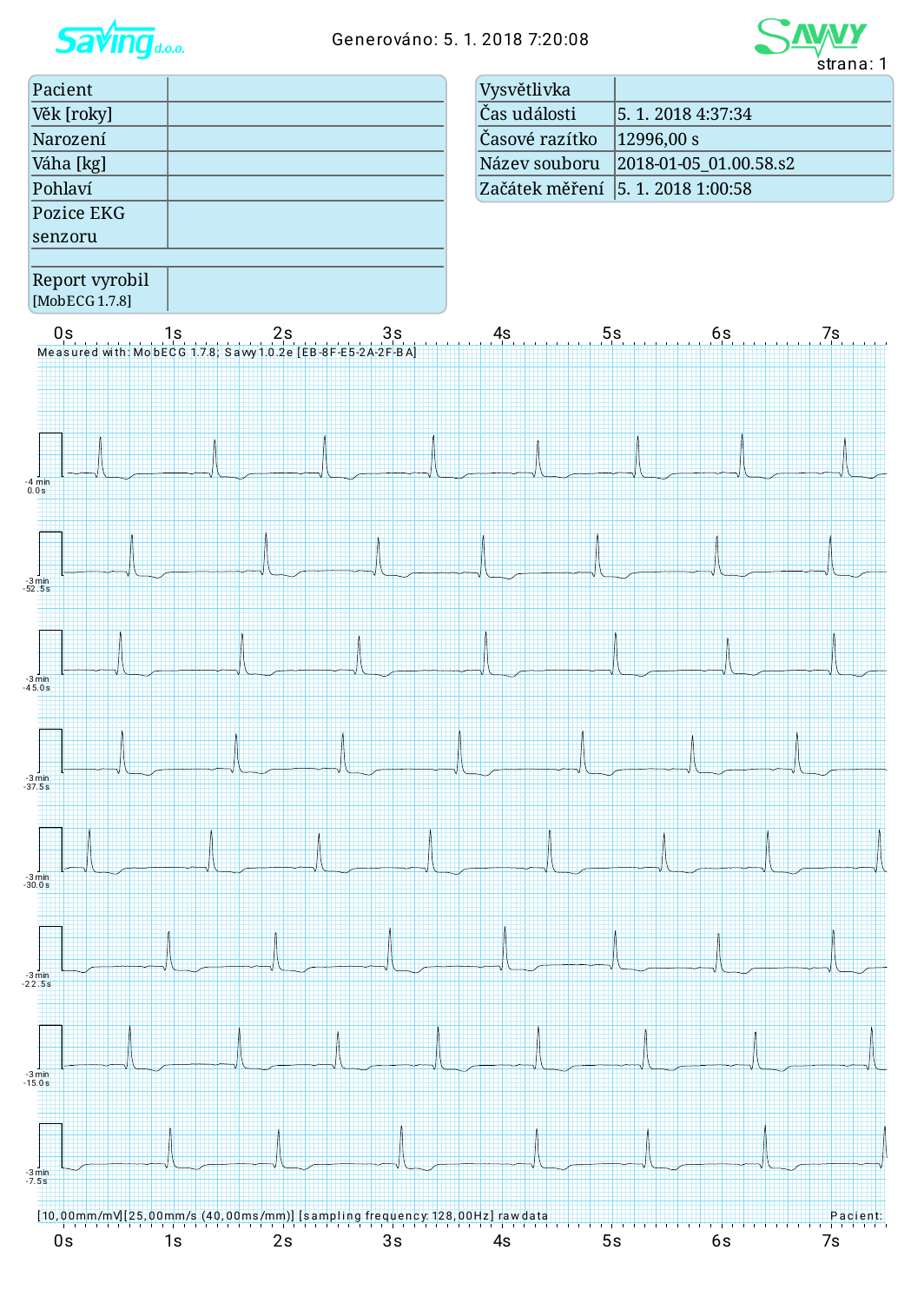

## Generováno: 5. 1. 2018 7:20:08



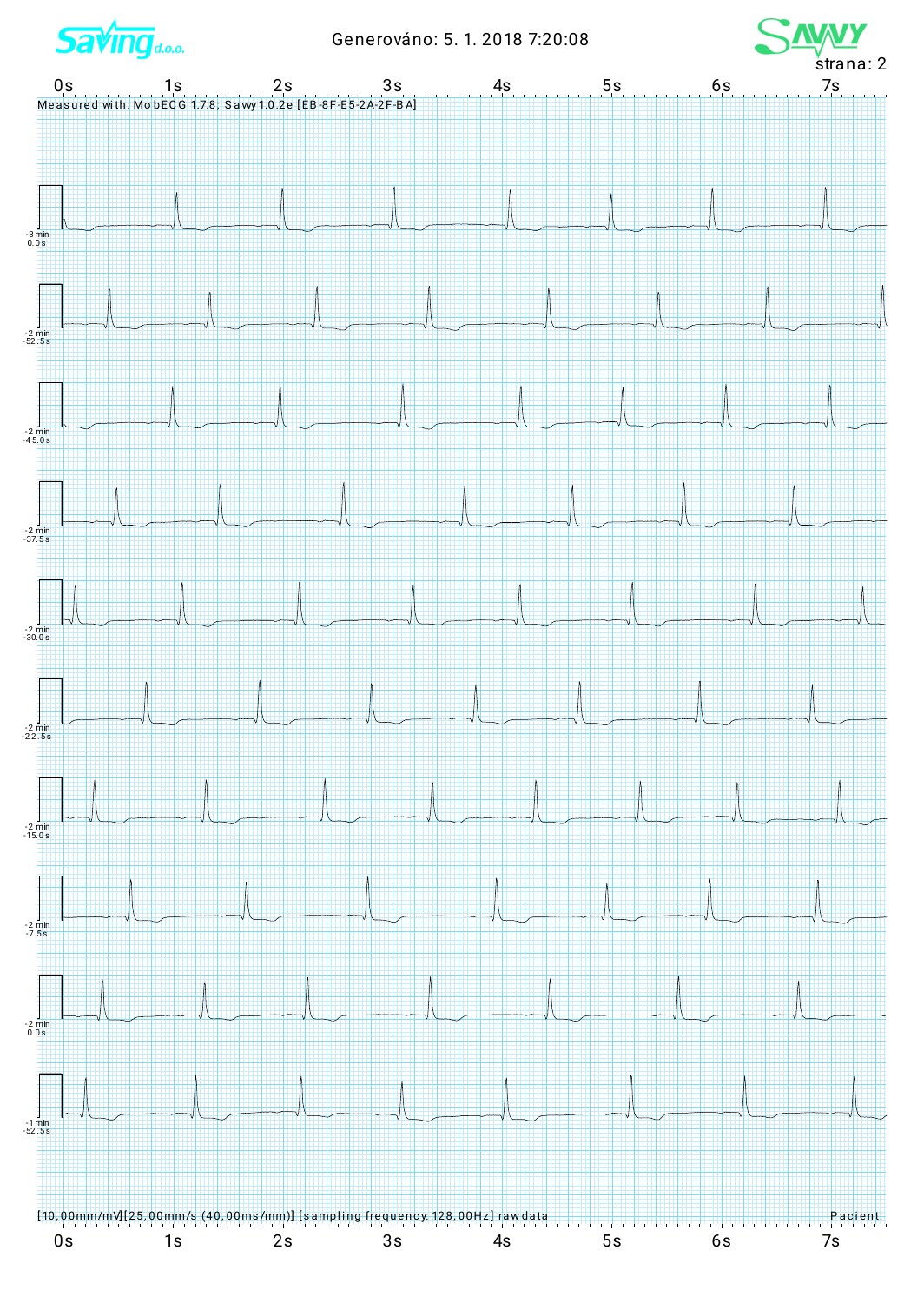**Saving**d.o.o.

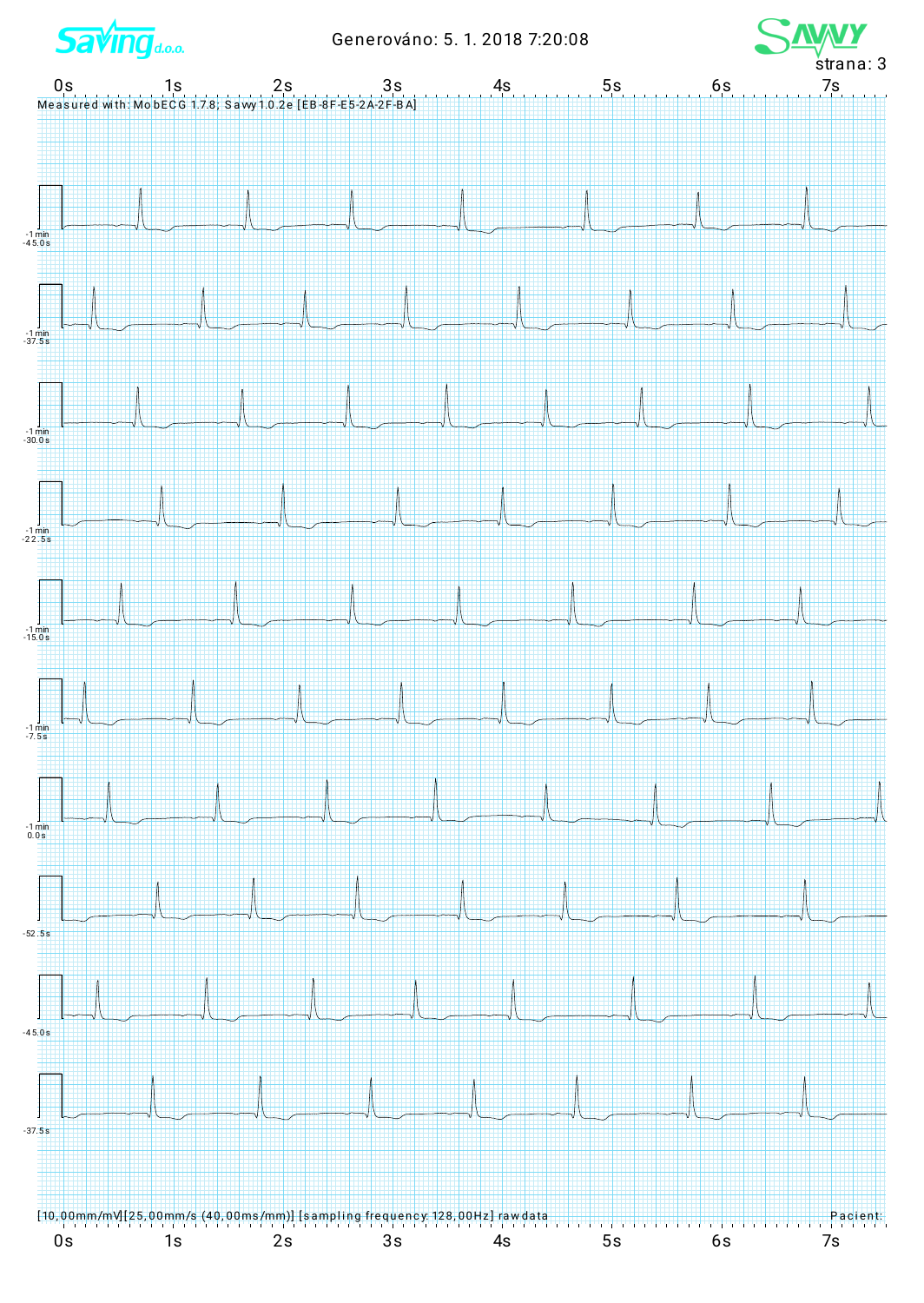**Saving**d.o.o.

 $-1 \text{ min}$ <br> $-45.0 \text{ s}$ 

 $\frac{1 \text{ min}}{37.5 \text{ s}}$ 

 $-1 \text{ min}$ <br> $-30.0 \text{ s}$ 

 $\frac{1}{-22.5s}$ 

 $-1 \text{ min}$ <br> $-15.0 \text{ s}$ 

 $-1 \text{ mir}$ <br> $-7.5 \text{s}$ 

 $\frac{1 \text{ min}}{0.0 \text{ s}}$ 

 $-52.5s$ 

 $-45.0 s$ 

 $-37.5s$ 

 $0s$ 

[10,00mm/mvl[25,00mm/s (40,00ms/mm)] [sampling frequen

 $2s$ 

 $1s$ 



<mark>су: 128,00Hz]</mark>

 $3s$ 

 $4s$ 

Н ╫ ₩ H Η

 $5s$ 

Pacient

 $7s$ 

۲ Η H

6s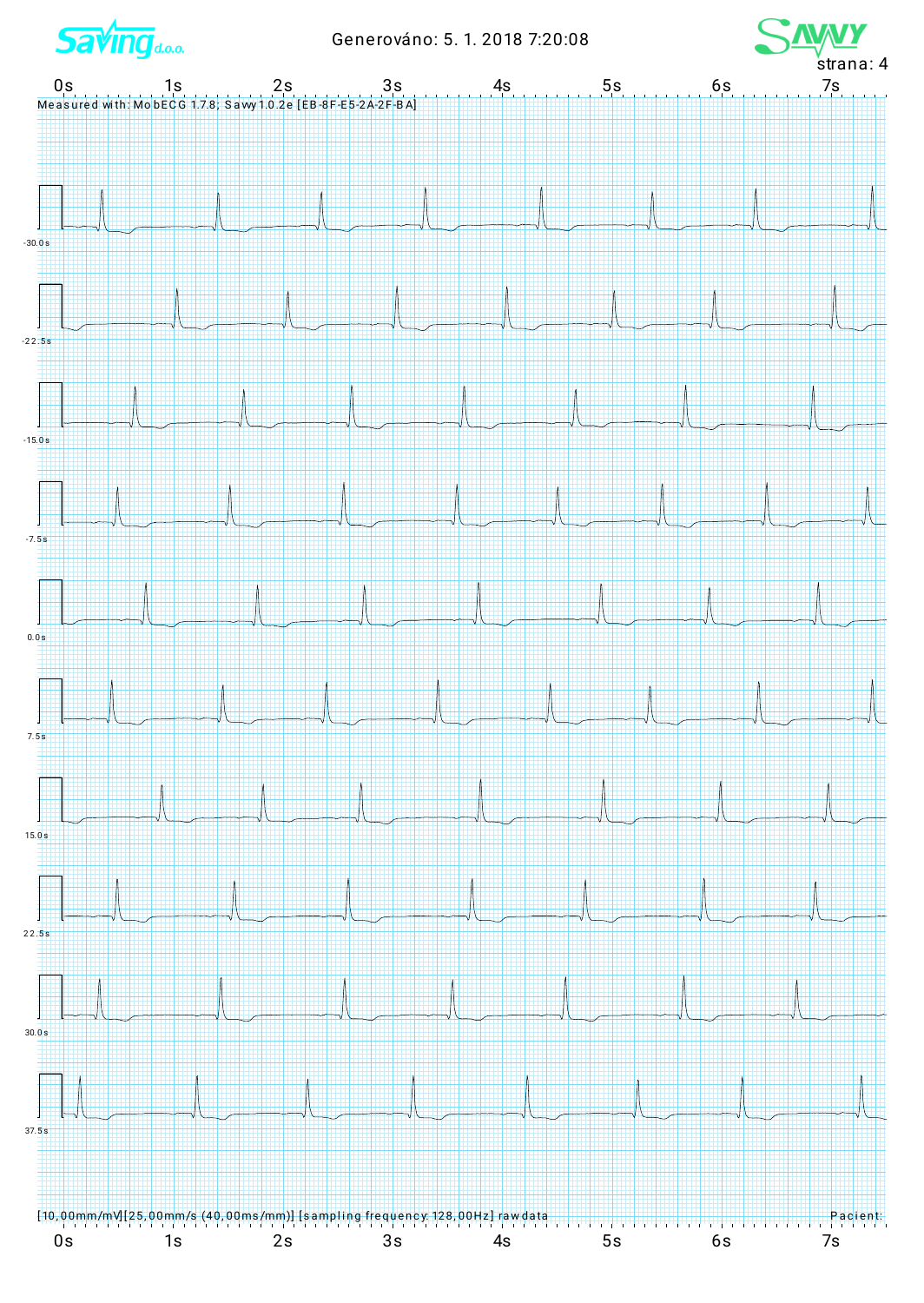**Saving**do.o.

Generováno: 5. 1. 2018 7:20:08



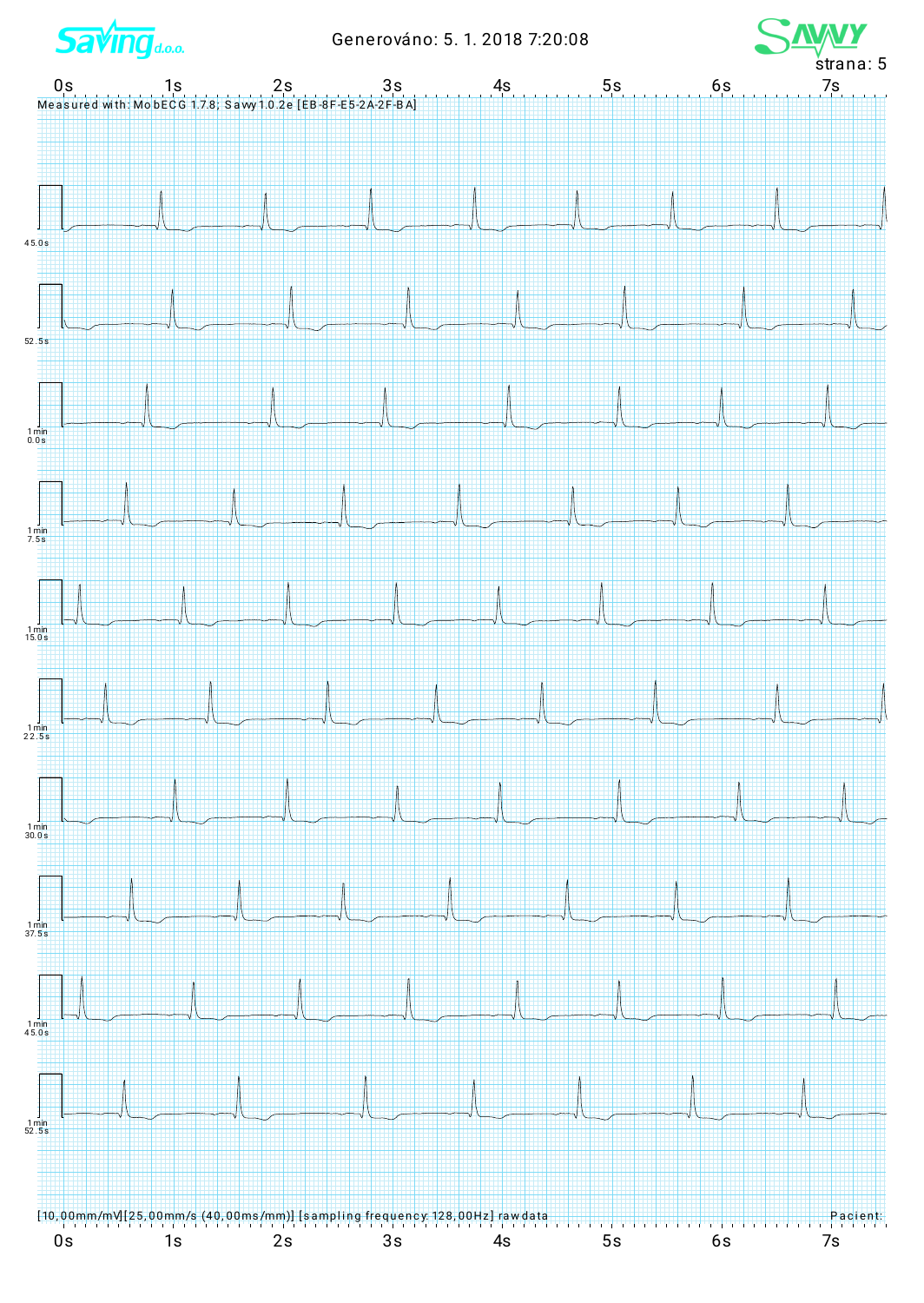**Saving**d.o.o.

Generováno: 5. 1. 2018 7:20:08



![](_page_4_Figure_3.jpeg)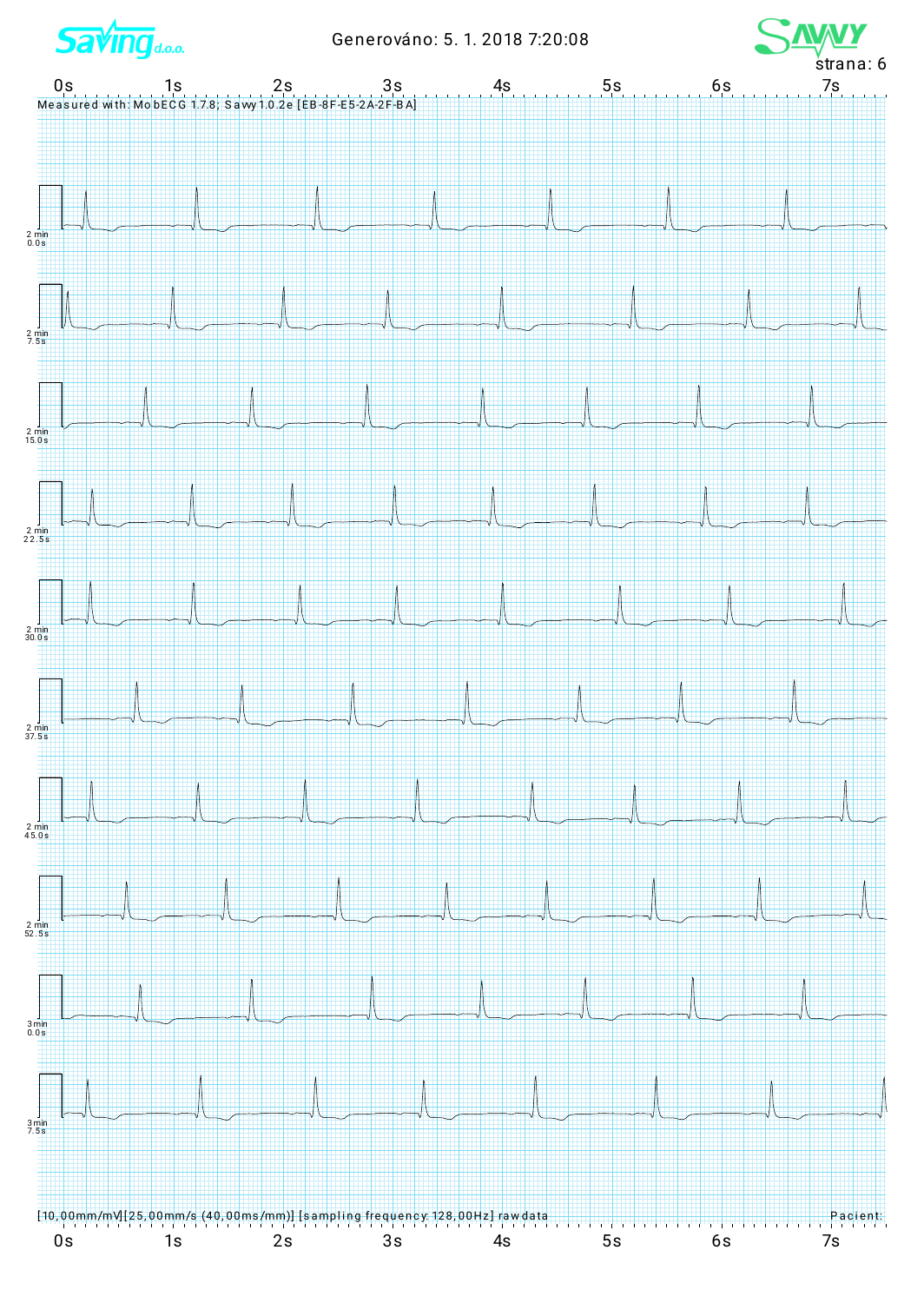**Saving**d.o.o.

Generováno: 5. 1. 2018 7:20:08

![](_page_5_Figure_2.jpeg)

![](_page_5_Figure_3.jpeg)